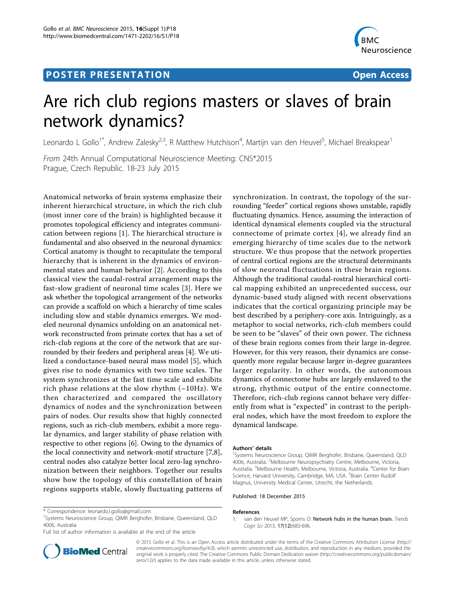## **POSTER PRESENTATION CONSUMING THE SERVICE SERVICE SERVICES**



# Are rich club regions masters or slaves of brain network dynamics?

Leonardo L Gollo<sup>1\*</sup>, Andrew Zalesky<sup>2,3</sup>, R Matthew Hutchison<sup>4</sup>, Martijn van den Heuvel<sup>5</sup>, Michael Breakspear<sup>1</sup>

From 24th Annual Computational Neuroscience Meeting: CNS\*2015 Prague, Czech Republic. 18-23 July 2015

Anatomical networks of brain systems emphasize their inherent hierarchical structure, in which the rich club (most inner core of the brain) is highlighted because it promotes topological efficiency and integrates communication between regions [1]. The hierarchical structure is fundamental and also observed in the neuronal dynamics: Cortical anatomy is thought to recapitulate the temporal hierarchy that is inherent in the dynamics of environmental states and human behavior [\[2](#page-1-0)]. According to this classical view the caudal-rostral arrangement maps the fast-slow gradient of neuronal time scales [\[3\]](#page-1-0). Here we ask whether the topological arrangement of the networks can provide a scaffold on which a hierarchy of time scales including slow and stable dynamics emerges. We modeled neuronal dynamics unfolding on an anatomical network reconstructed from primate cortex that has a set of rich-club regions at the core of the network that are surrounded by their feeders and peripheral areas [\[4](#page-1-0)]. We utilized a conductance-based neural mass model [[5\]](#page-1-0), which gives rise to node dynamics with two time scales. The system synchronizes at the fast time scale and exhibits rich phase relations at the slow rhythm  $(-10Hz)$ . We then characterized and compared the oscillatory dynamics of nodes and the synchronization between pairs of nodes. Our results show that highly connected regions, such as rich-club members, exhibit a more regular dynamics, and larger stability of phase relation with respective to other regions [\[6](#page-1-0)]. Owing to the dynamics of the local connectivity and network-motif structure [[7,8](#page-1-0)], central nodes also catalyze better local zero-lag synchronization between their neighbors. Together our results show how the topology of this constellation of brain regions supports stable, slowly fluctuating patterns of

\* Correspondence: [leonardo.l.gollo@gmail.com](mailto:leonardo.l.gollo@gmail.com)

<sup>1</sup>Systems Neuroscience Group, QIMR Berghofer, Brisbane, Queensland, QLD 4006, Australia

Full list of author information is available at the end of the article

synchronization. In contrast, the topology of the surrounding "feeder" cortical regions shows unstable, rapidly fluctuating dynamics. Hence, assuming the interaction of identical dynamical elements coupled via the structural connectome of primate cortex [[4](#page-1-0)], we already find an emerging hierarchy of time scales due to the network structure. We thus propose that the network properties of central cortical regions are the structural determinants of slow neuronal fluctuations in these brain regions. Although the traditional caudal-rostral hierarchical cortical mapping exhibited an unprecedented success, our dynamic-based study aligned with recent observations indicates that the cortical organizing principle may be best described by a periphery-core axis. Intriguingly, as a metaphor to social networks, rich-club members could be seen to be "slaves" of their own power. The richness of these brain regions comes from their large in-degree. However, for this very reason, their dynamics are consequently more regular because larger in-degree guarantees larger regularity. In other words, the autonomous dynamics of connectome hubs are largely enslaved to the strong, rhythmic output of the entire connectome. Therefore, rich-club regions cannot behave very differently from what is "expected" in contrast to the peripheral nodes, which have the most freedom to explore the dynamical landscape.

#### Authors' details <sup>1</sup>

<sup>1</sup>Systems Neuroscience Group, QIMR Berghofer, Brisbane, Queensland, QLD 4006, Australia. <sup>2</sup>Melbourne Neuropsychiatry Centre, Melbourne, Victoria, Australia. <sup>3</sup>Melbourne Health, Melbourne, Victoria, Australia. <sup>4</sup>Center for Brain Science, Harvard University, Cambridge, MA, USA. <sup>5</sup>Brain Center Rudolf Magnus, University Medical Center, Utrecht, the Netherlands.

#### Published: 18 December 2015

#### References

1. van den Heuvel MP, Sporns O: Network hubs in the human brain. Trends Cogn Sci 2013, 17(12):683-696.



© 2015 Gollo et al. This is an Open Access article distributed under the terms of the Creative Commons Attribution License [\(http://](http://creativecommons.org/licenses/by/4.0) [creativecommons.org/licenses/by/4.0](http://creativecommons.org/licenses/by/4.0)), which permits unrestricted use, distribution, and reproduction in any medium, provided the original work is properly cited. The Creative Commons Public Domain Dedication waiver ([http://creativecommons.org/publicdomain/](http://creativecommons.org/publicdomain/zero/1.0/) [zero/1.0/](http://creativecommons.org/publicdomain/zero/1.0/)) applies to the data made available in this article, unless otherwise stated.